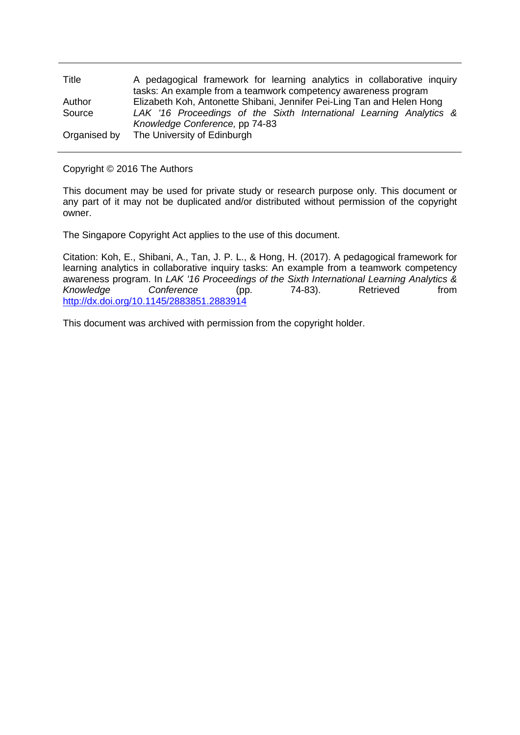| Title        | A pedagogical framework for learning analytics in collaborative inquiry |
|--------------|-------------------------------------------------------------------------|
|              | tasks: An example from a teamwork competency awareness program          |
| Author       | Elizabeth Koh, Antonette Shibani, Jennifer Pei-Ling Tan and Helen Hong  |
| Source       | LAK '16 Proceedings of the Sixth International Learning Analytics &     |
|              | Knowledge Conference, pp 74-83                                          |
| Organised by | The University of Edinburgh                                             |

## Copyright © 2016 The Authors

This document may be used for private study or research purpose only. This document or any part of it may not be duplicated and/or distributed without permission of the copyright owner.

The Singapore Copyright Act applies to the use of this document.

Citation: Koh, E., Shibani, A., Tan, J. P. L., & Hong, H. (2017). A pedagogical framework for learning analytics in collaborative inquiry tasks: An example from a teamwork competency awareness program. In *LAK '16 Proceedings of the Sixth International Learning Analytics & Conference* (pp. <http://dx.doi.org/10.1145/2883851.2883914>

This document was archived with permission from the copyright holder.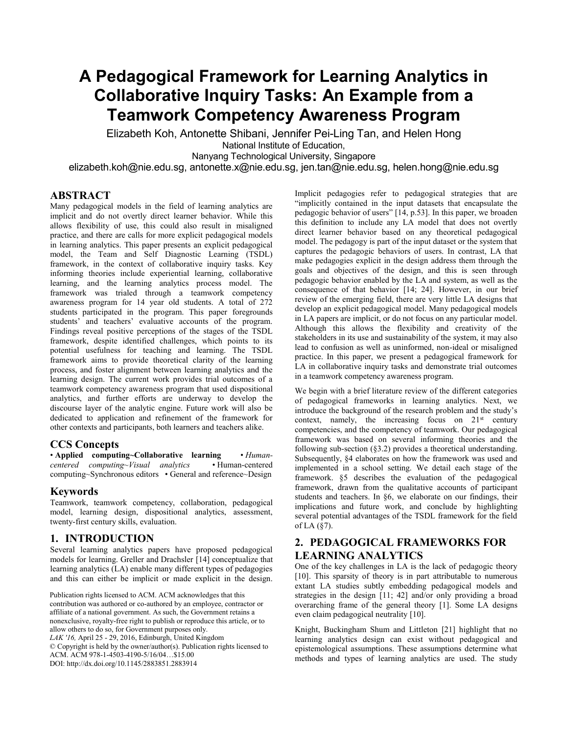# **A Pedagogical Framework for Learning Analytics in Collaborative Inquiry Tasks: An Example from a Teamwork Competency Awareness Program**

Elizabeth Koh, Antonette Shibani, Jennifer Pei-Ling Tan, and Helen Hong National Institute of Education,

Nanyang Technological University, Singapore

elizabeth.koh@nie.edu.sg, [antonette.x@nie.edu.sg,](mailto:antonette.x@nie.edu.sg) jen.tan@nie.edu.sg, helen.hong@nie.edu.sg

## **ABSTRACT**

Many pedagogical models in the field of learning analytics are implicit and do not overtly direct learner behavior. While this allows flexibility of use, this could also result in misaligned practice, and there are calls for more explicit pedagogical models in learning analytics. This paper presents an explicit pedagogical model, the Team and Self Diagnostic Learning (TSDL) framework, in the context of collaborative inquiry tasks. Key informing theories include experiential learning, collaborative learning, and the learning analytics process model. The framework was trialed through a teamwork competency awareness program for 14 year old students. A total of 272 students participated in the program. This paper foregrounds students' and teachers' evaluative accounts of the program. Findings reveal positive perceptions of the stages of the TSDL framework, despite identified challenges, which points to its potential usefulness for teaching and learning. The TSDL framework aims to provide theoretical clarity of the learning process, and foster alignment between learning analytics and the learning design. The current work provides trial outcomes of a teamwork competency awareness program that used dispositional analytics, and further efforts are underway to develop the discourse layer of the analytic engine. Future work will also be dedicated to application and refinement of the framework for other contexts and participants, both learners and teachers alike.

#### **CCS Concepts**

• **Applied computing~Collaborative learning** • *Humancentered computing~Visual analytics* • Human-centered computing~Synchronous editors • General and reference~Design

#### **Keywords**

Teamwork, teamwork competency, collaboration, pedagogical model, learning design, dispositional analytics, assessment, twenty-first century skills, evaluation.

## **1. INTRODUCTION**

Several learning analytics papers have proposed pedagogical models for learning. Greller and Drachsler [14] conceptualize that learning analytics (LA) enable many different types of pedagogies and this can either be implicit or made explicit in the design.

Publication rights licensed to ACM. ACM acknowledges that this contribution was authored or co-authored by an employee, contractor or affiliate of a national government. As such, the Government retains a nonexclusive, royalty-free right to publish or reproduce this article, or to allow others to do so, for Government purposes only. *LAK '16,* April 25 - 29, 2016, Edinburgh, United Kingdom © Copyright is held by the owner/author(s). Publication rights licensed to ACM. ACM 978-1-4503-4190-5/16/04…\$15.00 DOI[: http://dx.doi.org/10.1145/2883851.2883914](http://dx.doi.org/10.1145/2883851.2883914)

Implicit pedagogies refer to pedagogical strategies that are "implicitly contained in the input datasets that encapsulate the pedagogic behavior of users" [14, p.53]. In this paper, we broaden this definition to include any LA model that does not overtly direct learner behavior based on any theoretical pedagogical model. The pedagogy is part of the input dataset or the system that captures the pedagogic behaviors of users. In contrast, LA that make pedagogies explicit in the design address them through the goals and objectives of the design, and this is seen through pedagogic behavior enabled by the LA and system, as well as the consequence of that behavior [14; 24]. However, in our brief review of the emerging field, there are very little LA designs that develop an explicit pedagogical model. Many pedagogical models in LA papers are implicit, or do not focus on any particular model. Although this allows the flexibility and creativity of the stakeholders in its use and sustainability of the system, it may also lead to confusion as well as uninformed, non-ideal or misaligned practice. In this paper, we present a pedagogical framework for LA in collaborative inquiry tasks and demonstrate trial outcomes in a teamwork competency awareness program.

We begin with a brief literature review of the different categories of pedagogical frameworks in learning analytics. Next, we introduce the background of the research problem and the study's context, namely, the increasing focus on  $21<sup>st</sup>$  century competencies, and the competency of teamwork. Our pedagogical framework was based on several informing theories and the following sub-section (§3.2) provides a theoretical understanding. Subsequently, §4 elaborates on how the framework was used and implemented in a school setting. We detail each stage of the framework. §5 describes the evaluation of the pedagogical framework, drawn from the qualitative accounts of participant students and teachers. In §6, we elaborate on our findings, their implications and future work, and conclude by highlighting several potential advantages of the TSDL framework for the field of LA (§7).

## **2. PEDAGOGICAL FRAMEWORKS FOR LEARNING ANALYTICS**

One of the key challenges in LA is the lack of pedagogic theory [10]. This sparsity of theory is in part attributable to numerous extant LA studies subtly embedding pedagogical models and strategies in the design [11; 42] and/or only providing a broad overarching frame of the general theory [1]. Some LA designs even claim pedagogical neutrality [10].

Knight, Buckingham Shum and Littleton [21] highlight that no learning analytics design can exist without pedagogical and epistemological assumptions. These assumptions determine what methods and types of learning analytics are used. The study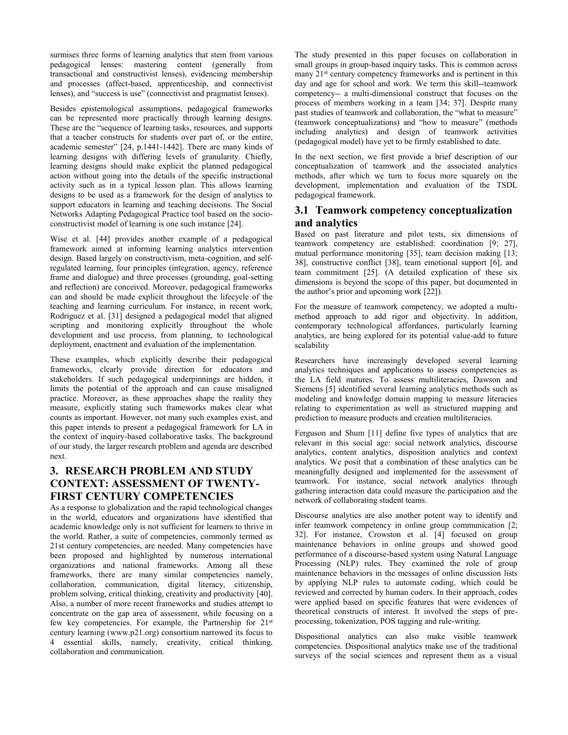surmises three forms of learning analytics that stem from various pedagogical lenses: mastering content (generally from transactional and constructivist lenses), evidencing membership and processes (affect-based, apprenticeship, and connectivist lenses), and "success is use" (connectivist and pragmatist lenses).

Besides epistemological assumptions, pedagogical frameworks can be represented more practically through learning designs. These are the "sequence of learning tasks, resources, and supports that a teacher constructs for students over part of, or the entire, academic semester" [24, p.1441-1442]. There are many kinds of learning designs with differing levels of granularity. Chiefly, learning designs should make explicit the planned pedagogical action without going into the details of the specific instructional activity such as in a typical lesson plan. This allows learning designs to be used as a framework for the design of analytics to support educators in learning and teaching decisions. The Social Networks Adapting Pedagogical Practice tool based on the socioconstructivist model of learning is one such instance [24].

Wise et al. [44] provides another example of a pedagogical framework aimed at informing learning analytics intervention design. Based largely on constructivism, meta-cognition, and selfregulated learning, four principles (integration, agency, reference frame and dialogue) and three processes (grounding, goal-setting and reflection) are conceived. Moreover, pedagogical frameworks can and should be made explicit throughout the lifecycle of the teaching and learning curriculum. For instance, in recent work, Rodriguez et al. [31] designed a pedagogical model that aligned scripting and monitoring explicitly throughout the whole development and use process, from planning, to technological deployment, enactment and evaluation of the implementation.

These examples, which explicitly describe their pedagogical frameworks, clearly provide direction for educators and stakeholders. If such pedagogical underpinnings are hidden, it limits the potential of the approach and can cause misaligned practice. Moreover, as these approaches shape the reality they measure, explicitly stating such frameworks makes clear what counts as important. However, not many such examples exist, and this paper intends to present a pedagogical framework for LA in the context of inquiry-based collaborative tasks. The background of our study, the larger research problem and agenda are described next.

# **3. RESEARCH PROBLEM AND STUDY CONTEXT: ASSESSMENT OF TWENTY-FIRST CENTURY COMPETENCIES**

As a response to globalization and the rapid technological changes in the world, educators and organizations have identified that academic knowledge only is not sufficient for learners to thrive in the world. Rather, a suite of competencies, commonly termed as 21st century competencies, are needed. Many competencies have been proposed and highlighted by numerous international organizations and national frameworks. Among all these frameworks, there are many similar competencies namely, collaboration, communication, digital literacy, citizenship, problem solving, critical thinking, creativity and productivity [40]. Also, a number of more recent frameworks and studies attempt to concentrate on the gap area of assessment, while focusing on a few key competencies. For example, the Partnership for 21st century learning [\(www.p21.org\)](http://www.p21.org/) consortium narrowed its focus to 4 essential skills, namely, creativity, critical thinking, collaboration and communication.

The study presented in this paper focuses on collaboration in small groups in group-based inquiry tasks. This is common across many 21<sup>st</sup> century competency frameworks and is pertinent in this day and age for school and work. We term this skill--teamwork competency-- a multi-dimensional construct that focuses on the process of members working in a team [34; 37]. Despite many past studies of teamwork and collaboration, the "what to measure" (teamwork conceptualizations) and "how to measure" (methods including analytics) and design of teamwork activities (pedagogical model) have yet to be firmly established to date.

In the next section, we first provide a brief description of our conceptualization of teamwork and the associated analytics methods, after which we turn to focus more squarely on the development, implementation and evaluation of the TSDL pedagogical framework.

## **3.1 Teamwork competency conceptualization and analytics**

Based on past literature and pilot tests, six dimensions of teamwork competency are established: coordination [9; 27], mutual performance monitoring [35], team decision making [13; 38], constructive conflict [38], team emotional support [6], and team commitment [25]. (A detailed explication of these six dimensions is beyond the scope of this paper, but documented in the author's prior and upcoming work [22]).

For the measure of teamwork competency, we adopted a multimethod approach to add rigor and objectivity. In addition, contemporary technological affordances, particularly learning analytics, are being explored for its potential value-add to future scalability

Researchers have increasingly developed several learning analytics techniques and applications to assess competencies as the LA field matures. To assess multiliteracies, Dawson and Siemens [5] identified several learning analytics methods such as modeling and knowledge domain mapping to measure literacies relating to experimentation as well as structured mapping and prediction to measure products and creation multiliteracies.

Ferguson and Shum [11] define five types of analytics that are relevant in this social age: social network analytics, discourse analytics, content analytics, disposition analytics and context analytics. We posit that a combination of these analytics can be meaningfully designed and implemented for the assessment of teamwork. For instance, social network analytics through gathering interaction data could measure the participation and the network of collaborating student teams.

Discourse analytics are also another potent way to identify and infer teamwork competency in online group communication [2; 32]. For instance, Crowston et al. [4] focused on group maintenance behaviors in online groups and showed good performance of a discourse-based system using Natural Language Processing (NLP) rules. They examined the role of group maintenance behaviors in the messages of online discussion lists by applying NLP rules to automate coding, which could be reviewed and corrected by human coders. In their approach, codes were applied based on specific features that were evidences of theoretical constructs of interest. It involved the steps of preprocessing, tokenization, POS tagging and rule-writing.

Dispositional analytics can also make visible teamwork competencies. Dispositional analytics make use of the traditional surveys of the social sciences and represent them as a visual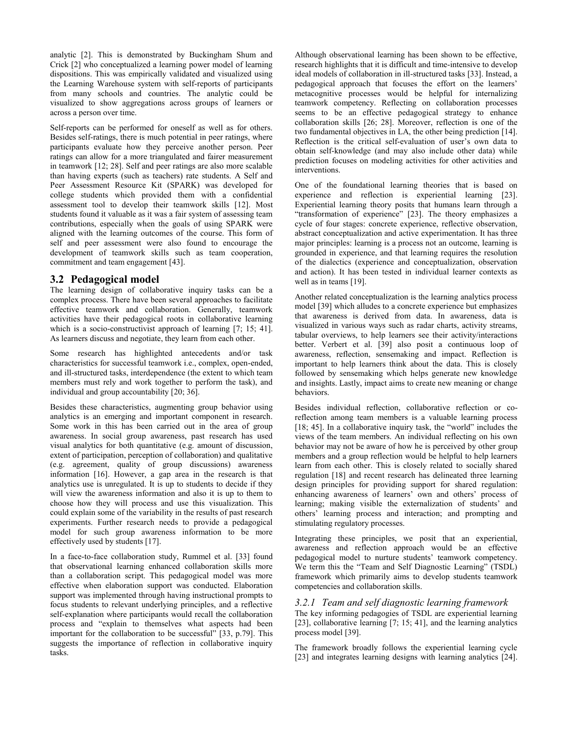analytic [2]. This is demonstrated by Buckingham Shum and Crick [2] who conceptualized a learning power model of learning dispositions. This was empirically validated and visualized using the Learning Warehouse system with self-reports of participants from many schools and countries. The analytic could be visualized to show aggregations across groups of learners or across a person over time.

Self-reports can be performed for oneself as well as for others. Besides self-ratings, there is much potential in peer ratings, where participants evaluate how they perceive another person. Peer ratings can allow for a more triangulated and fairer measurement in teamwork [12; 28]. Self and peer ratings are also more scalable than having experts (such as teachers) rate students. A Self and Peer Assessment Resource Kit (SPARK) was developed for college students which provided them with a confidential assessment tool to develop their teamwork skills [12]. Most students found it valuable as it was a fair system of assessing team contributions, especially when the goals of using SPARK were aligned with the learning outcomes of the course. This form of self and peer assessment were also found to encourage the development of teamwork skills such as team cooperation, commitment and team engagement [43].

#### **3.2 Pedagogical model**

The learning design of collaborative inquiry tasks can be a complex process. There have been several approaches to facilitate effective teamwork and collaboration. Generally, teamwork activities have their pedagogical roots in collaborative learning which is a socio-constructivist approach of learning [7; 15; 41]. As learners discuss and negotiate, they learn from each other.

Some research has highlighted antecedents and/or task characteristics for successful teamwork i.e., complex, open-ended, and ill-structured tasks, interdependence (the extent to which team members must rely and work together to perform the task), and individual and group accountability [20; 36].

Besides these characteristics, augmenting group behavior using analytics is an emerging and important component in research. Some work in this has been carried out in the area of group awareness. In social group awareness, past research has used visual analytics for both quantitative (e.g. amount of discussion, extent of participation, perception of collaboration) and qualitative (e.g. agreement, quality of group discussions) awareness information [16]. However, a gap area in the research is that analytics use is unregulated. It is up to students to decide if they will view the awareness information and also it is up to them to choose how they will process and use this visualization. This could explain some of the variability in the results of past research experiments. Further research needs to provide a pedagogical model for such group awareness information to be more effectively used by students [17].

In a face-to-face collaboration study, Rummel et al. [33] found that observational learning enhanced collaboration skills more than a collaboration script. This pedagogical model was more effective when elaboration support was conducted. Elaboration support was implemented through having instructional prompts to focus students to relevant underlying principles, and a reflective self-explanation where participants would recall the collaboration process and "explain to themselves what aspects had been important for the collaboration to be successful" [33, p.79]. This suggests the importance of reflection in collaborative inquiry tasks.

Although observational learning has been shown to be effective, research highlights that it is difficult and time-intensive to develop ideal models of collaboration in ill-structured tasks [33]. Instead, a pedagogical approach that focuses the effort on the learners' metacognitive processes would be helpful for internalizing teamwork competency. Reflecting on collaboration processes seems to be an effective pedagogical strategy to enhance collaboration skills [26; 28]. Moreover, reflection is one of the two fundamental objectives in LA, the other being prediction [14]. Reflection is the critical self-evaluation of user's own data to obtain self-knowledge (and may also include other data) while prediction focuses on modeling activities for other activities and interventions.

One of the foundational learning theories that is based on experience and reflection is experiential learning [23]. Experiential learning theory posits that humans learn through a "transformation of experience" [23]. The theory emphasizes a cycle of four stages: concrete experience, reflective observation, abstract conceptualization and active experimentation. It has three major principles: learning is a process not an outcome, learning is grounded in experience, and that learning requires the resolution of the dialectics (experience and conceptualization, observation and action). It has been tested in individual learner contexts as well as in teams [19].

Another related conceptualization is the learning analytics process model [39] which alludes to a concrete experience but emphasizes that awareness is derived from data. In awareness, data is visualized in various ways such as radar charts, activity streams, tabular overviews, to help learners see their activity/interactions better. Verbert et al. [39] also posit a continuous loop of awareness, reflection, sensemaking and impact. Reflection is important to help learners think about the data. This is closely followed by sensemaking which helps generate new knowledge and insights. Lastly, impact aims to create new meaning or change behaviors.

Besides individual reflection, collaborative reflection or coreflection among team members is a valuable learning process [18; 45]. In a collaborative inquiry task, the "world" includes the views of the team members. An individual reflecting on his own behavior may not be aware of how he is perceived by other group members and a group reflection would be helpful to help learners learn from each other. This is closely related to socially shared regulation [18] and recent research has delineated three learning design principles for providing support for shared regulation: enhancing awareness of learners' own and others' process of learning; making visible the externalization of students' and others' learning process and interaction; and prompting and stimulating regulatory processes.

Integrating these principles, we posit that an experiential, awareness and reflection approach would be an effective pedagogical model to nurture students' teamwork competency. We term this the "Team and Self Diagnostic Learning" (TSDL) framework which primarily aims to develop students teamwork competencies and collaboration skills.

#### *3.2.1 Team and self diagnostic learning framework*

The key informing pedagogies of TSDL are experiential learning [23], collaborative learning [7; 15; 41], and the learning analytics process model [39].

The framework broadly follows the experiential learning cycle [23] and integrates learning designs with learning analytics [24].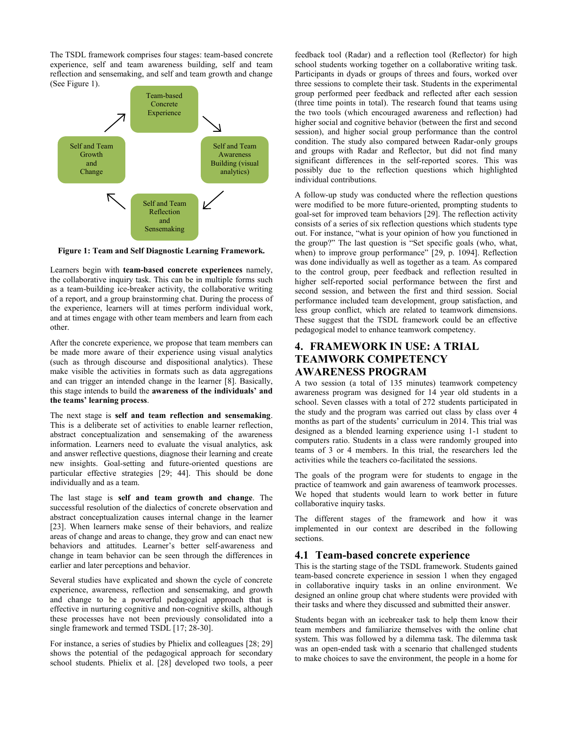The TSDL framework comprises four stages: team-based concrete experience, self and team awareness building, self and team reflection and sensemaking, and self and team growth and change (See Figure 1).



**Figure 1: Team and Self Diagnostic Learning Framework.**

Learners begin with **team-based concrete experiences** namely, the collaborative inquiry task. This can be in multiple forms such as a team-building ice-breaker activity, the collaborative writing of a report, and a group brainstorming chat. During the process of the experience, learners will at times perform individual work, and at times engage with other team members and learn from each other.

After the concrete experience, we propose that team members can be made more aware of their experience using visual analytics (such as through discourse and dispositional analytics). These make visible the activities in formats such as data aggregations and can trigger an intended change in the learner [8]. Basically, this stage intends to build the **awareness of the individuals' and the teams' learning process**.

The next stage is **self and team reflection and sensemaking**. This is a deliberate set of activities to enable learner reflection, abstract conceptualization and sensemaking of the awareness information. Learners need to evaluate the visual analytics, ask and answer reflective questions, diagnose their learning and create new insights. Goal-setting and future-oriented questions are particular effective strategies [29; 44]. This should be done individually and as a team.

The last stage is **self and team growth and change**. The successful resolution of the dialectics of concrete observation and abstract conceptualization causes internal change in the learner [23]. When learners make sense of their behaviors, and realize areas of change and areas to change, they grow and can enact new behaviors and attitudes. Learner's better self-awareness and change in team behavior can be seen through the differences in earlier and later perceptions and behavior.

Several studies have explicated and shown the cycle of concrete experience, awareness, reflection and sensemaking, and growth and change to be a powerful pedagogical approach that is effective in nurturing cognitive and non-cognitive skills, although these processes have not been previously consolidated into a single framework and termed TSDL [17; 28-30].

For instance, a series of studies by Phielix and colleagues [28; 29] shows the potential of the pedagogical approach for secondary school students. Phielix et al. [28] developed two tools, a peer feedback tool (Radar) and a reflection tool (Reflector) for high school students working together on a collaborative writing task. Participants in dyads or groups of threes and fours, worked over three sessions to complete their task. Students in the experimental group performed peer feedback and reflected after each session (three time points in total). The research found that teams using the two tools (which encouraged awareness and reflection) had higher social and cognitive behavior (between the first and second session), and higher social group performance than the control condition. The study also compared between Radar-only groups and groups with Radar and Reflector, but did not find many significant differences in the self-reported scores. This was possibly due to the reflection questions which highlighted individual contributions.

A follow-up study was conducted where the reflection questions were modified to be more future-oriented, prompting students to goal-set for improved team behaviors [29]. The reflection activity consists of a series of six reflection questions which students type out. For instance, "what is your opinion of how you functioned in the group?" The last question is "Set specific goals (who, what, when) to improve group performance" [29, p. 1094]. Reflection was done individually as well as together as a team. As compared to the control group, peer feedback and reflection resulted in higher self-reported social performance between the first and second session, and between the first and third session. Social performance included team development, group satisfaction, and less group conflict, which are related to teamwork dimensions. These suggest that the TSDL framework could be an effective pedagogical model to enhance teamwork competency.

# **4. FRAMEWORK IN USE: A TRIAL TEAMWORK COMPETENCY AWARENESS PROGRAM**

A two session (a total of 135 minutes) teamwork competency awareness program was designed for 14 year old students in a school. Seven classes with a total of 272 students participated in the study and the program was carried out class by class over 4 months as part of the students' curriculum in 2014. This trial was designed as a blended learning experience using 1-1 student to computers ratio. Students in a class were randomly grouped into teams of 3 or 4 members. In this trial, the researchers led the activities while the teachers co-facilitated the sessions.

The goals of the program were for students to engage in the practice of teamwork and gain awareness of teamwork processes. We hoped that students would learn to work better in future collaborative inquiry tasks.

The different stages of the framework and how it was implemented in our context are described in the following sections.

#### **4.1 Team-based concrete experience**

This is the starting stage of the TSDL framework. Students gained team-based concrete experience in session 1 when they engaged in collaborative inquiry tasks in an online environment. We designed an online group chat where students were provided with their tasks and where they discussed and submitted their answer.

Students began with an icebreaker task to help them know their team members and familiarize themselves with the online chat system. This was followed by a dilemma task. The dilemma task was an open-ended task with a scenario that challenged students to make choices to save the environment, the people in a home for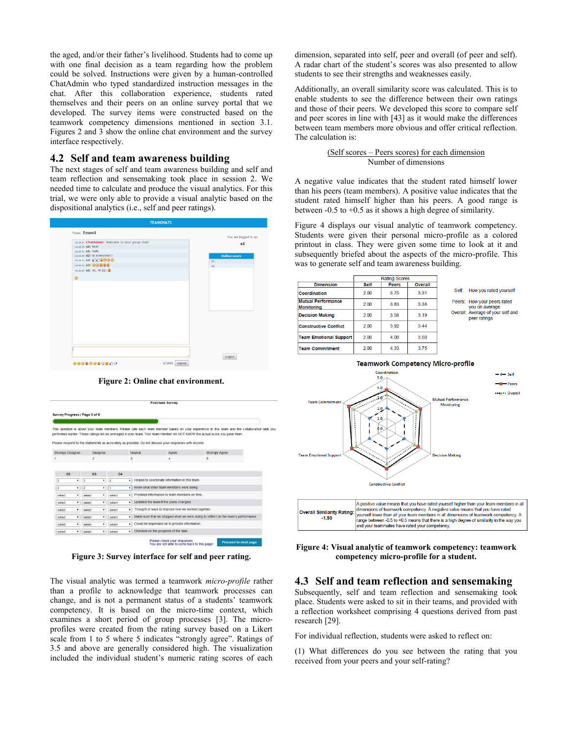the aged, and/or their father's livelihood. Students had to come up with one final decision as a team regarding how the problem could be solved. Instructions were given by a human-controlled ChatAdmin who typed standardized instruction messages in the chat. After this collaboration experience, students rated themselves and their peers on an online survey portal that we developed. The survey items were constructed based on the teamwork competency dimensions mentioned in section 3.1. Figures 2 and 3 show the online chat environment and the survey interface respectively.

#### **4.2 Self and team awareness building**

The next stages of self and team awareness building and self and team reflection and sensemaking took place in session 2. We needed time to calculate and produce the visual analytics. For this trial, we were only able to provide a visual analytic based on the dispositional analytics (i.e., self and peer ratings).



**Figure 2: Online chat environment.**

|                     |                          |                                                                                           |                                                                                         | Post-task Survey                                   |                |                                                                                                                                                                                                                                                                                                                                                                                                                                    |  |  |  |
|---------------------|--------------------------|-------------------------------------------------------------------------------------------|-----------------------------------------------------------------------------------------|----------------------------------------------------|----------------|------------------------------------------------------------------------------------------------------------------------------------------------------------------------------------------------------------------------------------------------------------------------------------------------------------------------------------------------------------------------------------------------------------------------------------|--|--|--|
|                     |                          |                                                                                           |                                                                                         |                                                    |                |                                                                                                                                                                                                                                                                                                                                                                                                                                    |  |  |  |
|                     |                          |                                                                                           |                                                                                         |                                                    |                |                                                                                                                                                                                                                                                                                                                                                                                                                                    |  |  |  |
|                     |                          |                                                                                           |                                                                                         |                                                    |                |                                                                                                                                                                                                                                                                                                                                                                                                                                    |  |  |  |
|                     |                          |                                                                                           |                                                                                         |                                                    |                |                                                                                                                                                                                                                                                                                                                                                                                                                                    |  |  |  |
|                     |                          |                                                                                           |                                                                                         |                                                    |                |                                                                                                                                                                                                                                                                                                                                                                                                                                    |  |  |  |
|                     | <b>Disagree</b>          |                                                                                           | Neutral                                                                                 | Agree                                              | Strongly Agree |                                                                                                                                                                                                                                                                                                                                                                                                                                    |  |  |  |
| $\overline{c}$      |                          | 3                                                                                         | $\overline{4}$                                                                          | 5                                                  |                |                                                                                                                                                                                                                                                                                                                                                                                                                                    |  |  |  |
| 3<br>۰              | C <sub>3</sub><br>۰      | C <sub>4</sub><br>$\overline{4}$                                                          | Helped to coordinate information in this team.<br>٠                                     |                                                    |                |                                                                                                                                                                                                                                                                                                                                                                                                                                    |  |  |  |
| $\overline{c}$<br>۰ | ۰                        | $\overline{1}$                                                                            |                                                                                         |                                                    |                |                                                                                                                                                                                                                                                                                                                                                                                                                                    |  |  |  |
| ٠                   | ۰                        | select                                                                                    | Provided information to team members on time                                            |                                                    |                |                                                                                                                                                                                                                                                                                                                                                                                                                                    |  |  |  |
| ۰                   | ۰                        | select                                                                                    | Updated the team if the plans changed.<br>۰                                             |                                                    |                |                                                                                                                                                                                                                                                                                                                                                                                                                                    |  |  |  |
| ۰                   | ٠                        | select                                                                                    | ۰                                                                                       | Thought of ways to improve how we worked together. |                |                                                                                                                                                                                                                                                                                                                                                                                                                                    |  |  |  |
| ۰                   | ۰                        | select                                                                                    | Made sure that we stopped what we were doing to reflect on the team's performance.<br>۰ |                                                    |                |                                                                                                                                                                                                                                                                                                                                                                                                                                    |  |  |  |
| ۰                   | ۰                        | select                                                                                    | Could be depended on to provide information.<br>۰                                       |                                                    |                |                                                                                                                                                                                                                                                                                                                                                                                                                                    |  |  |  |
| ٠                   | ۰                        | select                                                                                    | $\mathbf{v}$                                                                            | Checked on the progress of the task.               |                |                                                                                                                                                                                                                                                                                                                                                                                                                                    |  |  |  |
|                     | <b>Strongly Disagree</b> | Survey Progress / Page 3 of 6<br>select<br>select<br>select<br>select<br>select<br>select |                                                                                         | ۰<br>۰                                             |                | This question is about your team members. Please rate each team member based on your experience in this team and the collaborative task yo<br>performed earlier. These ratings will be averaged in your team. Your team member will NOT KNOW the actual score you gave them.<br>Please respond to the statements as accurately as possible. Do not discuss your responses with anyone.<br>Knew what other team members were doing. |  |  |  |

**Figure 3: Survey interface for self and peer rating.**

The visual analytic was termed a teamwork *micro-profile* rather than a profile to acknowledge that teamwork processes can change, and is not a permanent status of a students' teamwork competency. It is based on the micro-time context, which examines a short period of group processes [3]. The microprofiles were created from the rating survey based on a Likert scale from 1 to 5 where 5 indicates "strongly agree". Ratings of 3.5 and above are generally considered high. The visualization included the individual student's numeric rating scores of each

dimension, separated into self, peer and overall (of peer and self). A radar chart of the student's scores was also presented to allow students to see their strengths and weaknesses easily.

Additionally, an overall similarity score was calculated. This is to enable students to see the difference between their own ratings and those of their peers. We developed this score to compare self and peer scores in line with [43] as it would make the differences between team members more obvious and offer critical reflection. The calculation is:

#### (Self scores – Peers scores) for each dimension Number of dimensions

A negative value indicates that the student rated himself lower than his peers (team members). A positive value indicates that the student rated himself higher than his peers. A good range is between -0.5 to +0.5 as it shows a high degree of similarity.

Figure 4 displays our visual analytic of teamwork competency. Students were given their personal micro-profile as a colored printout in class. They were given some time to look at it and subsequently briefed about the aspects of the micro-profile. This was to generate self and team awareness building.

|                                  | <b>Rating Scores</b> |       |         |       |                                                   |
|----------------------------------|----------------------|-------|---------|-------|---------------------------------------------------|
| <b>Dimension</b>                 | Self                 | Peers | Overall |       |                                                   |
| Coordination                     | 2.00                 | 3.75  | 3.31    | Self: | How you rated yourself                            |
| Mutual Performance<br>Monitorina | 2.00                 | 383   | 3.38    |       | Peers: How your peers rated<br>you on average     |
| <b>Decision Making</b>           | 2.00                 | 3.58  | 3 1 9   |       | Overall: Average of your self and<br>peer ratings |
| <b>Constructive Conflict</b>     | 2.00                 | 3.92  | 3.44    |       |                                                   |
| <b>Team Emotional Support</b>    | 2.00                 | 4.00  | 3.50    |       |                                                   |
| <b>Team Commitment</b>           | 2.00                 | 4 3 3 | 3.75    |       |                                                   |



**Figure 4: Visual analytic of teamwork competency: teamwork competency micro-profile for a student.**

## **4.3 Self and team reflection and sensemaking**

Subsequently, self and team reflection and sensemaking took place. Students were asked to sit in their teams, and provided with a reflection worksheet comprising 4 questions derived from past research [29].

For individual reflection, students were asked to reflect on:

(1) What differences do you see between the rating that you received from your peers and your self-rating?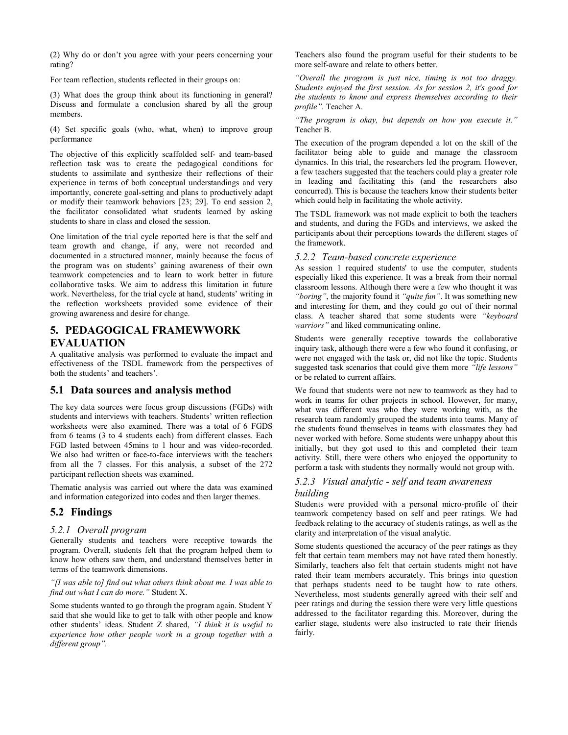(2) Why do or don't you agree with your peers concerning your rating?

For team reflection, students reflected in their groups on:

(3) What does the group think about its functioning in general? Discuss and formulate a conclusion shared by all the group members.

(4) Set specific goals (who, what, when) to improve group performance

The objective of this explicitly scaffolded self- and team-based reflection task was to create the pedagogical conditions for students to assimilate and synthesize their reflections of their experience in terms of both conceptual understandings and very importantly, concrete goal-setting and plans to productively adapt or modify their teamwork behaviors [23; 29]. To end session 2, the facilitator consolidated what students learned by asking students to share in class and closed the session.

One limitation of the trial cycle reported here is that the self and team growth and change, if any, were not recorded and documented in a structured manner, mainly because the focus of the program was on students' gaining awareness of their own teamwork competencies and to learn to work better in future collaborative tasks. We aim to address this limitation in future work. Nevertheless, for the trial cycle at hand, students' writing in the reflection worksheets provided some evidence of their growing awareness and desire for change.

## **5. PEDAGOGICAL FRAMEWWORK EVALUATION**

A qualitative analysis was performed to evaluate the impact and effectiveness of the TSDL framework from the perspectives of both the students' and teachers'.

## **5.1 Data sources and analysis method**

The key data sources were focus group discussions (FGDs) with students and interviews with teachers. Students' written reflection worksheets were also examined. There was a total of 6 FGDS from 6 teams (3 to 4 students each) from different classes. Each FGD lasted between 45mins to 1 hour and was video-recorded. We also had written or face-to-face interviews with the teachers from all the 7 classes. For this analysis, a subset of the 272 participant reflection sheets was examined.

Thematic analysis was carried out where the data was examined and information categorized into codes and then larger themes.

## **5.2 Findings**

#### *5.2.1 Overall program*

Generally students and teachers were receptive towards the program. Overall, students felt that the program helped them to know how others saw them, and understand themselves better in terms of the teamwork dimensions.

*"[I was able to] find out what others think about me. I was able to find out what I can do more."* Student X.

Some students wanted to go through the program again. Student Y said that she would like to get to talk with other people and know other students' ideas. Student Z shared, *"I think it is useful to experience how other people work in a group together with a different group".*

Teachers also found the program useful for their students to be more self-aware and relate to others better.

*"Overall the program is just nice, timing is not too draggy. Students enjoyed the first session. As for session 2, it's good for the students to know and express themselves according to their profile".* Teacher A.

*"The program is okay, but depends on how you execute it."*  Teacher B.

The execution of the program depended a lot on the skill of the facilitator being able to guide and manage the classroom dynamics. In this trial, the researchers led the program. However, a few teachers suggested that the teachers could play a greater role in leading and facilitating this (and the researchers also concurred). This is because the teachers know their students better which could help in facilitating the whole activity.

The TSDL framework was not made explicit to both the teachers and students, and during the FGDs and interviews, we asked the participants about their perceptions towards the different stages of the framework.

#### *5.2.2 Team-based concrete experience*

As session 1 required students' to use the computer, students especially liked this experience. It was a break from their normal classroom lessons. Although there were a few who thought it was *"boring"*, the majority found it *"quite fun"*. It was something new and interesting for them, and they could go out of their normal class. A teacher shared that some students were *"keyboard warriors"* and liked communicating online.

Students were generally receptive towards the collaborative inquiry task, although there were a few who found it confusing, or were not engaged with the task or, did not like the topic. Students suggested task scenarios that could give them more *"life lessons"* or be related to current affairs.

We found that students were not new to teamwork as they had to work in teams for other projects in school. However, for many, what was different was who they were working with, as the research team randomly grouped the students into teams. Many of the students found themselves in teams with classmates they had never worked with before. Some students were unhappy about this initially, but they got used to this and completed their team activity. Still, there were others who enjoyed the opportunity to perform a task with students they normally would not group with.

#### *5.2.3 Visual analytic - self and team awareness building*

Students were provided with a personal micro-profile of their teamwork competency based on self and peer ratings. We had feedback relating to the accuracy of students ratings, as well as the clarity and interpretation of the visual analytic.

Some students questioned the accuracy of the peer ratings as they felt that certain team members may not have rated them honestly. Similarly, teachers also felt that certain students might not have rated their team members accurately. This brings into question that perhaps students need to be taught how to rate others. Nevertheless, most students generally agreed with their self and peer ratings and during the session there were very little questions addressed to the facilitator regarding this. Moreover, during the earlier stage, students were also instructed to rate their friends fairly.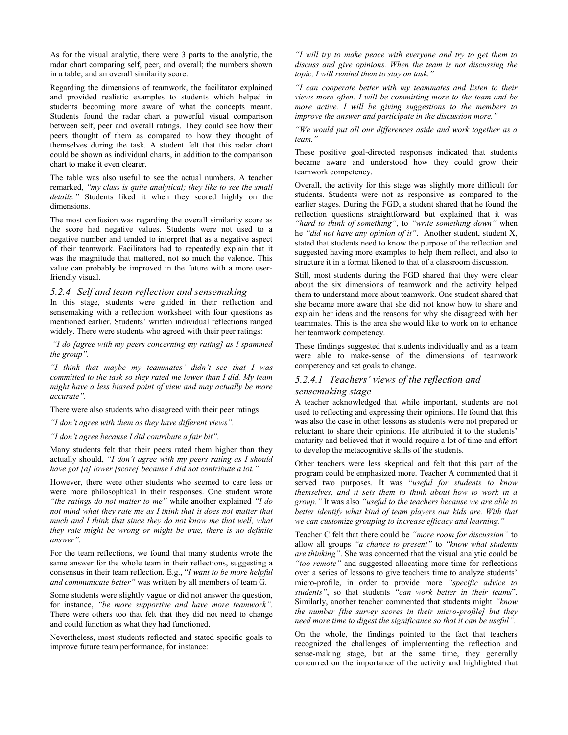As for the visual analytic, there were 3 parts to the analytic, the radar chart comparing self, peer, and overall; the numbers shown in a table; and an overall similarity score.

Regarding the dimensions of teamwork, the facilitator explained and provided realistic examples to students which helped in students becoming more aware of what the concepts meant. Students found the radar chart a powerful visual comparison between self, peer and overall ratings. They could see how their peers thought of them as compared to how they thought of themselves during the task. A student felt that this radar chart could be shown as individual charts, in addition to the comparison chart to make it even clearer.

The table was also useful to see the actual numbers. A teacher remarked, *"my class is quite analytical; they like to see the small details."* Students liked it when they scored highly on the dimensions.

The most confusion was regarding the overall similarity score as the score had negative values. Students were not used to a negative number and tended to interpret that as a negative aspect of their teamwork. Facilitators had to repeatedly explain that it was the magnitude that mattered, not so much the valence. This value can probably be improved in the future with a more userfriendly visual.

#### *5.2.4 Self and team reflection and sensemaking*

In this stage, students were guided in their reflection and sensemaking with a reflection worksheet with four questions as mentioned earlier. Students' written individual reflections ranged widely. There were students who agreed with their peer ratings:

*"I do [agree with my peers concerning my rating] as I spammed the group".*

*"I think that maybe my teammates' didn't see that I was committed to the task so they rated me lower than I did. My team might have a less biased point of view and may actually be more accurate".*

There were also students who disagreed with their peer ratings:

*"I don't agree with them as they have different views".*

#### *"I don't agree because I did contribute a fair bit".*

Many students felt that their peers rated them higher than they actually should, *"I don't agree with my peers rating as I should have got [a] lower [score] because I did not contribute a lot."*

However, there were other students who seemed to care less or were more philosophical in their responses. One student wrote *"the ratings do not matter to me"* while another explained *"I do not mind what they rate me as I think that it does not matter that much and I think that since they do not know me that well, what they rate might be wrong or might be true, there is no definite answer".*

For the team reflections, we found that many students wrote the same answer for the whole team in their reflections, suggesting a consensus in their team reflection. E.g., "*I want to be more helpful and communicate better"* was written by all members of team G.

Some students were slightly vague or did not answer the question, for instance, *"be more supportive and have more teamwork".*  There were others too that felt that they did not need to change and could function as what they had functioned.

Nevertheless, most students reflected and stated specific goals to improve future team performance, for instance:

*"I will try to make peace with everyone and try to get them to discuss and give opinions. When the team is not discussing the topic, I will remind them to stay on task."*

*"I can cooperate better with my teammates and listen to their views more often. I will be committing more to the team and be more active. I will be giving suggestions to the members to improve the answer and participate in the discussion more."*

*"We would put all our differences aside and work together as a team."*

These positive goal-directed responses indicated that students became aware and understood how they could grow their teamwork competency.

Overall, the activity for this stage was slightly more difficult for students. Students were not as responsive as compared to the earlier stages. During the FGD, a student shared that he found the reflection questions straightforward but explained that it was *"hard to think of something"*, to *"write something down"* when he *"did not have any opinion of it"*. Another student, student X, stated that students need to know the purpose of the reflection and suggested having more examples to help them reflect, and also to structure it in a format likened to that of a classroom discussion.

Still, most students during the FGD shared that they were clear about the six dimensions of teamwork and the activity helped them to understand more about teamwork. One student shared that she became more aware that she did not know how to share and explain her ideas and the reasons for why she disagreed with her teammates. This is the area she would like to work on to enhance her teamwork competency.

These findings suggested that students individually and as a team were able to make-sense of the dimensions of teamwork competency and set goals to change.

#### *5.2.4.1 Teachers' views of the reflection and sensemaking stage*

A teacher acknowledged that while important, students are not used to reflecting and expressing their opinions. He found that this was also the case in other lessons as students were not prepared or reluctant to share their opinions. He attributed it to the students' maturity and believed that it would require a lot of time and effort to develop the metacognitive skills of the students.

Other teachers were less skeptical and felt that this part of the program could be emphasized more. Teacher A commented that it served two purposes. It was "*useful for students to know themselves, and it sets them to think about how to work in a group."* It was also *"useful to the teachers because we are able to better identify what kind of team players our kids are. With that we can customize grouping to increase efficacy and learning."*

Teacher C felt that there could be *"more room for discussion"* to allow all groups *"a chance to present"* to *"know what students are thinking"*. She was concerned that the visual analytic could be *"too remote"* and suggested allocating more time for reflections over a series of lessons to give teachers time to analyze students' micro-profile, in order to provide more *"specific advice to students"*, so that students *"can work better in their teams*". Similarly, another teacher commented that students might *"know the number [the survey scores in their micro-profile] but they need more time to digest the significance so that it can be useful".*

On the whole, the findings pointed to the fact that teachers recognized the challenges of implementing the reflection and sense-making stage, but at the same time, they generally concurred on the importance of the activity and highlighted that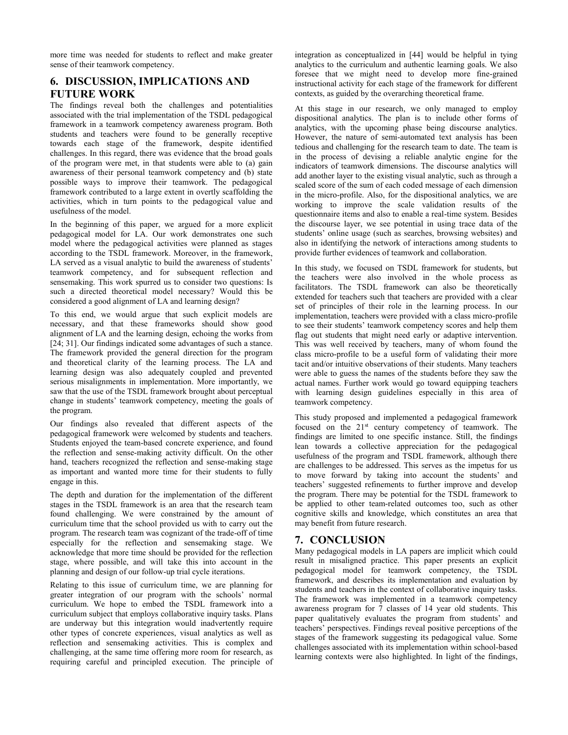more time was needed for students to reflect and make greater sense of their teamwork competency.

## **6. DISCUSSION, IMPLICATIONS AND FUTURE WORK**

The findings reveal both the challenges and potentialities associated with the trial implementation of the TSDL pedagogical framework in a teamwork competency awareness program. Both students and teachers were found to be generally receptive towards each stage of the framework, despite identified challenges. In this regard, there was evidence that the broad goals of the program were met, in that students were able to (a) gain awareness of their personal teamwork competency and (b) state possible ways to improve their teamwork. The pedagogical framework contributed to a large extent in overtly scaffolding the activities, which in turn points to the pedagogical value and usefulness of the model.

In the beginning of this paper, we argued for a more explicit pedagogical model for LA. Our work demonstrates one such model where the pedagogical activities were planned as stages according to the TSDL framework. Moreover, in the framework, LA served as a visual analytic to build the awareness of students' teamwork competency, and for subsequent reflection and sensemaking. This work spurred us to consider two questions: Is such a directed theoretical model necessary? Would this be considered a good alignment of LA and learning design?

To this end, we would argue that such explicit models are necessary, and that these frameworks should show good alignment of LA and the learning design, echoing the works from [24; 31]. Our findings indicated some advantages of such a stance. The framework provided the general direction for the program and theoretical clarity of the learning process. The LA and learning design was also adequately coupled and prevented serious misalignments in implementation. More importantly, we saw that the use of the TSDL framework brought about perceptual change in students' teamwork competency, meeting the goals of the program.

Our findings also revealed that different aspects of the pedagogical framework were welcomed by students and teachers. Students enjoyed the team-based concrete experience, and found the reflection and sense-making activity difficult. On the other hand, teachers recognized the reflection and sense-making stage as important and wanted more time for their students to fully engage in this.

The depth and duration for the implementation of the different stages in the TSDL framework is an area that the research team found challenging. We were constrained by the amount of curriculum time that the school provided us with to carry out the program. The research team was cognizant of the trade-off of time especially for the reflection and sensemaking stage. We acknowledge that more time should be provided for the reflection stage, where possible, and will take this into account in the planning and design of our follow-up trial cycle iterations.

Relating to this issue of curriculum time, we are planning for greater integration of our program with the schools' normal curriculum. We hope to embed the TSDL framework into a curriculum subject that employs collaborative inquiry tasks. Plans are underway but this integration would inadvertently require other types of concrete experiences, visual analytics as well as reflection and sensemaking activities. This is complex and challenging, at the same time offering more room for research, as requiring careful and principled execution. The principle of integration as conceptualized in [44] would be helpful in tying analytics to the curriculum and authentic learning goals. We also foresee that we might need to develop more fine-grained instructional activity for each stage of the framework for different contexts, as guided by the overarching theoretical frame.

At this stage in our research, we only managed to employ dispositional analytics. The plan is to include other forms of analytics, with the upcoming phase being discourse analytics. However, the nature of semi-automated text analysis has been tedious and challenging for the research team to date. The team is in the process of devising a reliable analytic engine for the indicators of teamwork dimensions. The discourse analytics will add another layer to the existing visual analytic, such as through a scaled score of the sum of each coded message of each dimension in the micro-profile. Also, for the dispositional analytics, we are working to improve the scale validation results of the questionnaire items and also to enable a real-time system. Besides the discourse layer, we see potential in using trace data of the students' online usage (such as searches, browsing websites) and also in identifying the network of interactions among students to provide further evidences of teamwork and collaboration.

In this study, we focused on TSDL framework for students, but the teachers were also involved in the whole process as facilitators. The TSDL framework can also be theoretically extended for teachers such that teachers are provided with a clear set of principles of their role in the learning process. In our implementation, teachers were provided with a class micro-profile to see their students' teamwork competency scores and help them flag out students that might need early or adaptive intervention. This was well received by teachers, many of whom found the class micro-profile to be a useful form of validating their more tacit and/or intuitive observations of their students. Many teachers were able to guess the names of the students before they saw the actual names. Further work would go toward equipping teachers with learning design guidelines especially in this area of teamwork competency.

This study proposed and implemented a pedagogical framework focused on the 21<sup>st</sup> century competency of teamwork. The findings are limited to one specific instance. Still, the findings lean towards a collective appreciation for the pedagogical usefulness of the program and TSDL framework, although there are challenges to be addressed. This serves as the impetus for us to move forward by taking into account the students' and teachers' suggested refinements to further improve and develop the program. There may be potential for the TSDL framework to be applied to other team-related outcomes too, such as other cognitive skills and knowledge, which constitutes an area that may benefit from future research.

## **7. CONCLUSION**

Many pedagogical models in LA papers are implicit which could result in misaligned practice. This paper presents an explicit pedagogical model for teamwork competency, the TSDL framework, and describes its implementation and evaluation by students and teachers in the context of collaborative inquiry tasks. The framework was implemented in a teamwork competency awareness program for 7 classes of 14 year old students. This paper qualitatively evaluates the program from students' and teachers' perspectives. Findings reveal positive perceptions of the stages of the framework suggesting its pedagogical value. Some challenges associated with its implementation within school-based learning contexts were also highlighted. In light of the findings,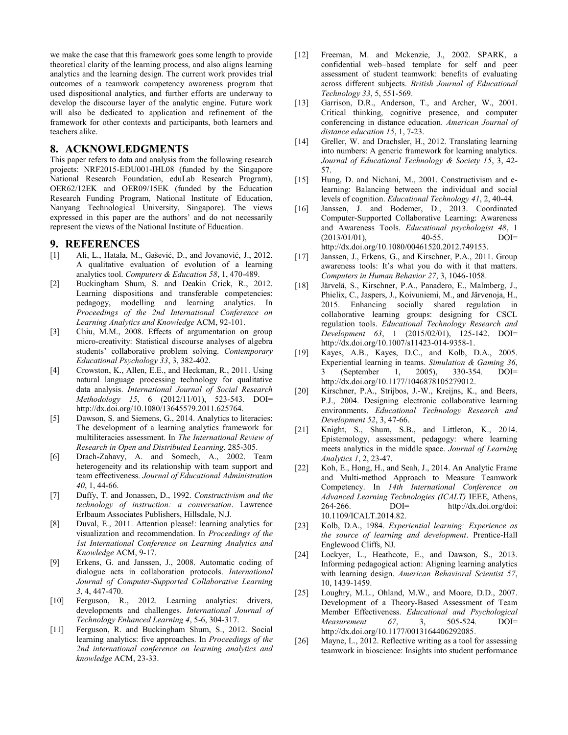we make the case that this framework goes some length to provide theoretical clarity of the learning process, and also aligns learning analytics and the learning design. The current work provides trial outcomes of a teamwork competency awareness program that used dispositional analytics, and further efforts are underway to develop the discourse layer of the analytic engine. Future work will also be dedicated to application and refinement of the framework for other contexts and participants, both learners and teachers alike.

#### **8. ACKNOWLEDGMENTS**

This paper refers to data and analysis from the following research projects: NRF2015-EDU001-IHL08 (funded by the Singapore National Research Foundation, eduLab Research Program), OER62/12EK and OER09/15EK (funded by the Education Research Funding Program, National Institute of Education, Nanyang Technological University, Singapore). The views expressed in this paper are the authors' and do not necessarily represent the views of the National Institute of Education.

#### **9. REFERENCES**

- [1] Ali, L., Hatala, M., Gašević, D., and Jovanović, J., 2012. A qualitative evaluation of evolution of a learning analytics tool. *Computers & Education 58*, 1, 470-489.
- [2] Buckingham Shum, S. and Deakin Crick, R., 2012. Learning dispositions and transferable competencies: pedagogy, modelling and learning analytics. In *Proceedings of the 2nd International Conference on Learning Analytics and Knowledge* ACM, 92-101.
- [3] Chiu, M.M., 2008. Effects of argumentation on group micro-creativity: Statistical discourse analyses of algebra students' collaborative problem solving. *Contemporary Educational Psychology 33*, 3, 382-402.
- [4] Crowston, K., Allen, E.E., and Heckman, R., 2011. Using natural language processing technology for qualitative data analysis. *International Journal of Social Research Methodology 15*, 6 (2012/11/01), 523-543. DOI= [http://dx.doi.org/10.1080/13645579.2011.625764.](http://dx.doi.org/10.1080/13645579.2011.625764)
- [5] Dawson, S. and Siemens, G., 2014. Analytics to literacies: The development of a learning analytics framework for multiliteracies assessment. In *The International Review of Research in Open and Distributed Learning*, 285-305.
- [6] Drach-Zahavy, A. and Somech, A., 2002. Team heterogeneity and its relationship with team support and team effectiveness. *Journal of Educational Administration 40*, 1, 44-66.
- [7] Duffy, T. and Jonassen, D., 1992. *Constructivism and the technology of instruction: a conversation*. Lawrence Erlbaum Associates Publishers, Hillsdale, N.J.
- [8] Duval, E., 2011. Attention please!: learning analytics for visualization and recommendation. In *Proceedings of the 1st International Conference on Learning Analytics and Knowledge* ACM, 9-17.
- [9] Erkens, G. and Janssen, J., 2008. Automatic coding of dialogue acts in collaboration protocols. *International Journal of Computer-Supported Collaborative Learning 3*, 4, 447-470.
- [10] Ferguson, R., 2012. Learning analytics: drivers, developments and challenges. *International Journal of Technology Enhanced Learning 4*, 5-6, 304-317.
- [11] Ferguson, R. and Buckingham Shum, S., 2012. Social learning analytics: five approaches. In *Proceedings of the 2nd international conference on learning analytics and knowledge* ACM, 23-33.
- [12] Freeman, M. and Mckenzie, J., 2002. SPARK, a confidential web–based template for self and peer assessment of student teamwork: benefits of evaluating across different subjects. *British Journal of Educational Technology 33*, 5, 551-569.
- [13] Garrison, D.R., Anderson, T., and Archer, W., 2001. Critical thinking, cognitive presence, and computer conferencing in distance education. *American Journal of distance education 15*, 1, 7-23.
- [14] Greller, W. and Drachsler, H., 2012. Translating learning into numbers: A generic framework for learning analytics. *Journal of Educational Technology & Society 15*, 3, 42- 57.
- [15] Hung, D. and Nichani, M., 2001. Constructivism and elearning: Balancing between the individual and social levels of cognition. *Educational Technology 41*, 2, 40-44.
- [16] Janssen, J. and Bodemer, D., 2013. Coordinated Computer-Supported Collaborative Learning: Awareness and Awareness Tools. *Educational psychologist 48*, 1  $(2013/01/01)$ ,  $40-55$ . DOI= [http://dx.doi.org/10.1080/00461520.2012.749153.](http://dx.doi.org/10.1080/00461520.2012.749153)
- [17] Janssen, J., Erkens, G., and Kirschner, P.A., 2011. Group awareness tools: It's what you do with it that matters. *Computers in Human Behavior 27*, 3, 1046-1058.
- [18] Järvelä, S., Kirschner, P.A., Panadero, E., Malmberg, J., Phielix, C., Jaspers, J., Koivuniemi, M., and Järvenoja, H., 2015. Enhancing socially shared regulation in collaborative learning groups: designing for CSCL regulation tools. *Educational Technology Research and Development 63*, 1 (2015/02/01), 125-142. DOI= [http://dx.doi.org/10.1007/s11423-014-9358-1.](http://dx.doi.org/10.1007/s11423-014-9358-1)
- [19] Kayes, A.B., Kayes, D.C., and Kolb, D.A., 2005. Experiential learning in teams. *Simulation & Gaming 36*, 3 (September 1, 2005), 330-354. DOI= [http://dx.doi.org/10.1177/1046878105279012.](http://dx.doi.org/10.1177/1046878105279012)
- [20] Kirschner, P.A., Strijbos, J.-W., Kreijns, K., and Beers, P.J., 2004. Designing electronic collaborative learning environments. *Educational Technology Research and Development 52*, 3, 47-66.
- [21] Knight, S., Shum, S.B., and Littleton, K., 2014. Epistemology, assessment, pedagogy: where learning meets analytics in the middle space. *Journal of Learning Analytics 1*, 2, 23-47.
- [22] Koh, E., Hong, H., and Seah, J., 2014. An Analytic Frame and Multi-method Approach to Measure Teamwork Competency. In *14th International Conference on Advanced Learning Technologies (ICALT)* IEEE, Athens,  $264-266.$  DOI= <http://dx.doi.org/doi:> 10.1109/ICALT.2014.82.
- [23] Kolb, D.A., 1984. *Experiential learning: Experience as the source of learning and development*. Prentice-Hall Englewood Cliffs, NJ.
- [24] Lockyer, L., Heathcote, E., and Dawson, S., 2013. Informing pedagogical action: Aligning learning analytics with learning design. *American Behavioral Scientist 57*, 10, 1439-1459.
- [25] Loughry, M.L., Ohland, M.W., and Moore, D.D., 2007. Development of a Theory-Based Assessment of Team Member Effectiveness. *Educational and Psychological Measurement 67*, 3, 505-524. DOI= [http://dx.doi.org/10.1177/0013164406292085.](http://dx.doi.org/10.1177/0013164406292085)
- [26] Mayne, L., 2012. Reflective writing as a tool for assessing teamwork in bioscience: Insights into student performance